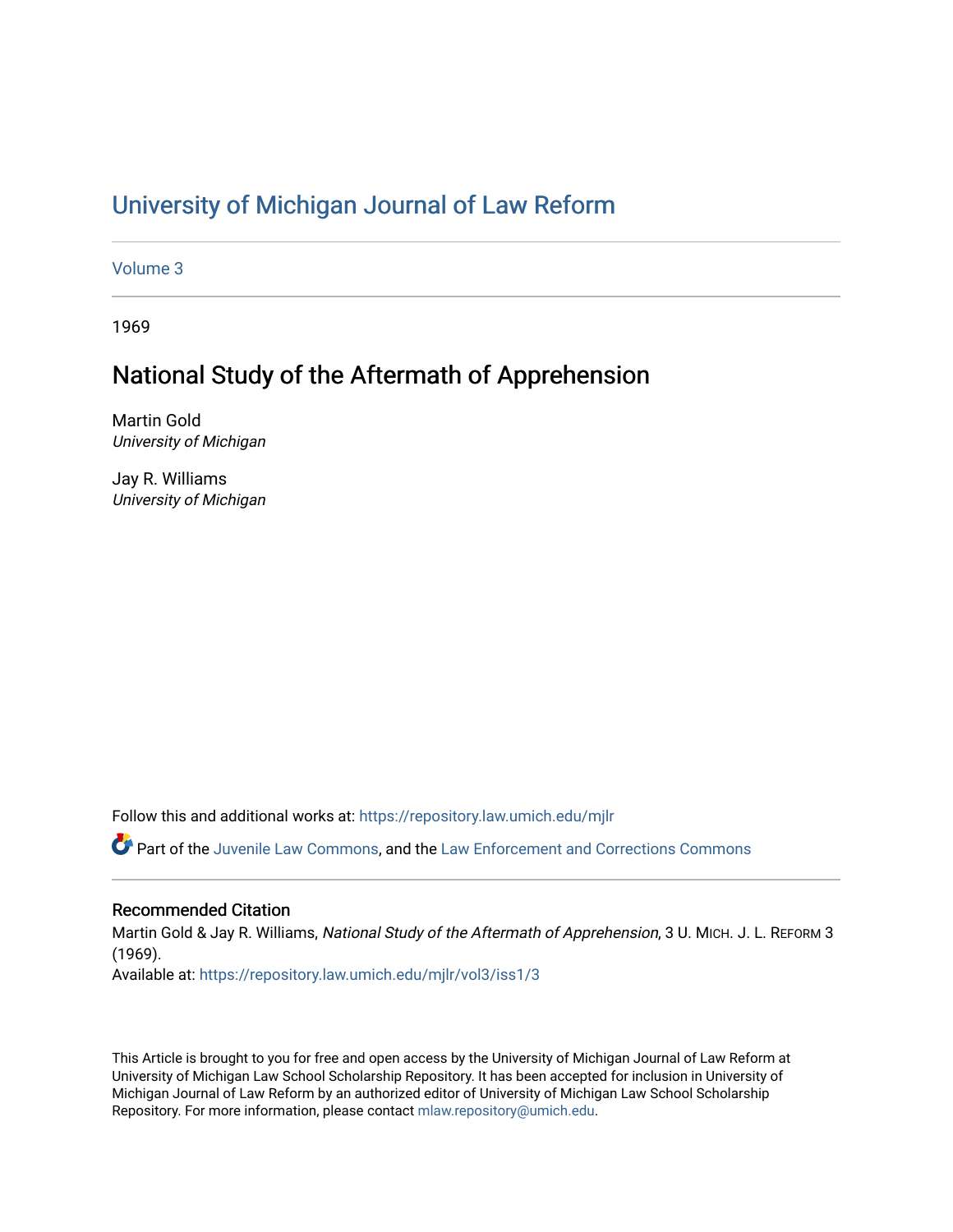# [University of Michigan Journal of Law Reform](https://repository.law.umich.edu/mjlr)

[Volume 3](https://repository.law.umich.edu/mjlr/vol3)

1969

## National Study of the Aftermath of Apprehension

Martin Gold University of Michigan

Jay R. Williams University of Michigan

Follow this and additional works at: [https://repository.law.umich.edu/mjlr](https://repository.law.umich.edu/mjlr?utm_source=repository.law.umich.edu%2Fmjlr%2Fvol3%2Fiss1%2F3&utm_medium=PDF&utm_campaign=PDFCoverPages) 

Part of the [Juvenile Law Commons](http://network.bepress.com/hgg/discipline/851?utm_source=repository.law.umich.edu%2Fmjlr%2Fvol3%2Fiss1%2F3&utm_medium=PDF&utm_campaign=PDFCoverPages), and the Law Enforcement and Corrections Commons

#### Recommended Citation

Martin Gold & Jay R. Williams, National Study of the Aftermath of Apprehension, 3 U. MICH. J. L. REFORM 3 (1969). Available at: [https://repository.law.umich.edu/mjlr/vol3/iss1/3](https://repository.law.umich.edu/mjlr/vol3/iss1/3?utm_source=repository.law.umich.edu%2Fmjlr%2Fvol3%2Fiss1%2F3&utm_medium=PDF&utm_campaign=PDFCoverPages)

This Article is brought to you for free and open access by the University of Michigan Journal of Law Reform at University of Michigan Law School Scholarship Repository. It has been accepted for inclusion in University of Michigan Journal of Law Reform by an authorized editor of University of Michigan Law School Scholarship Repository. For more information, please contact [mlaw.repository@umich.edu](mailto:mlaw.repository@umich.edu).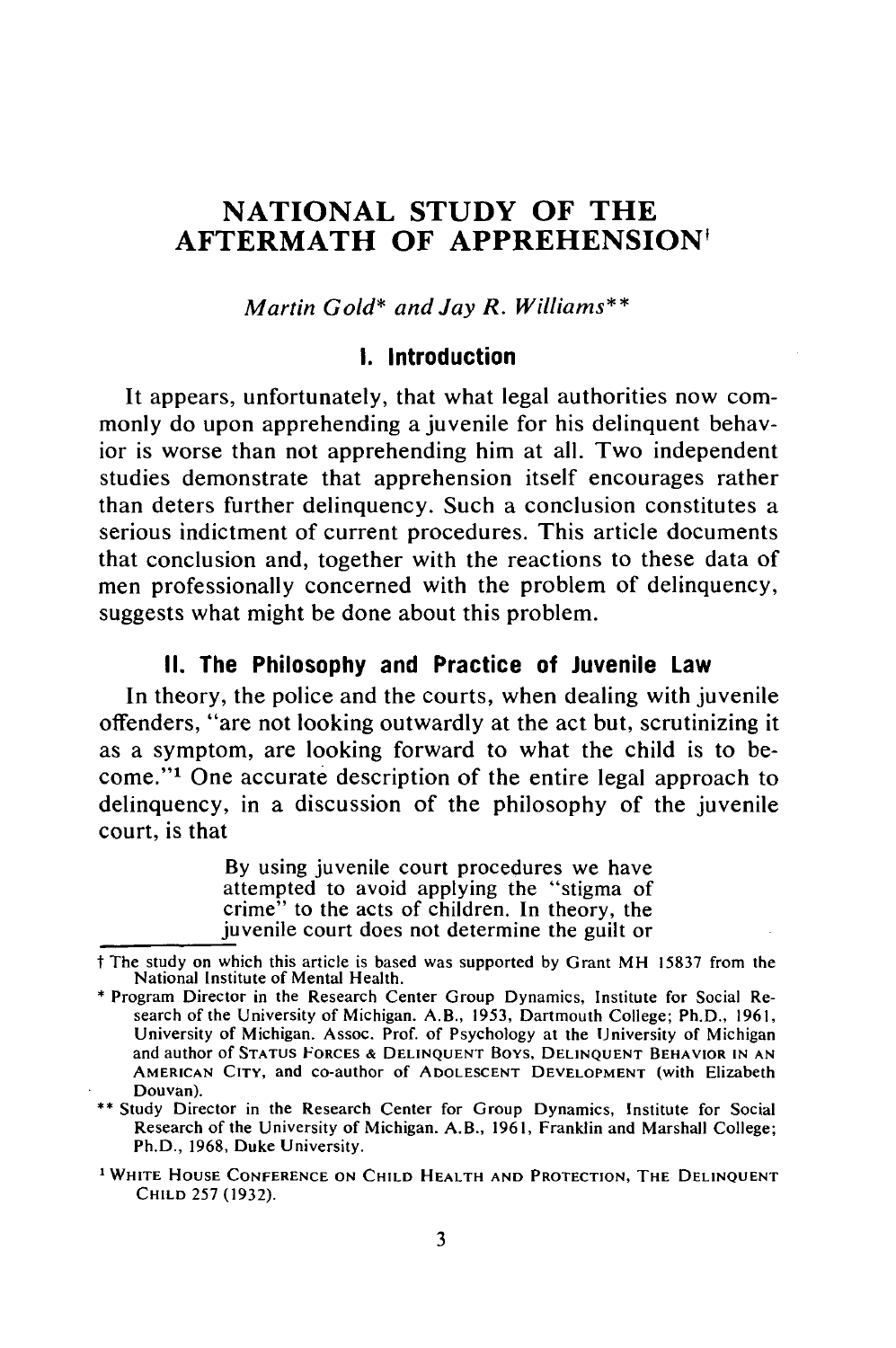## **NATIONAL STUDY OF THE AFTERMATH OF APPREHENSION'**

*Martin Gold\* and Jay R. Williams\*\**

#### **I.** Introduction

It appears, unfortunately, that what legal authorities now commonly do upon apprehending a juvenile for his delinquent behavior is worse than not apprehending him at all. Two independent studies demonstrate that apprehension itself encourages rather than deters further delinquency. Such a conclusion constitutes a serious indictment of current procedures. This article documents that conclusion and, together with the reactions to these data of men professionally concerned with the problem of delinquency, suggests what might be done about this problem.

#### **II.** The Philosophy and Practice of Juvenile Law

In theory, the police and the courts, when dealing with juvenile offenders, "are not looking outwardly at the act but, scrutinizing it as a symptom, are looking forward to what the child is to become."1 One accurate description of the entire legal approach to delinquency, in a discussion of the philosophy of the juvenile court, is that

> By using juvenile court procedures we have attempted to avoid applying the "stigma of crime" to the acts of children. In theory, the juvenile court does not determine the guilt or

**•\*** Study Director in the Research Center for Group Dynamics, Institute for Social Research of the University of Michigan. A.B., **1961,** Franklin and Marshall College; Ph.D., **1968,** Duke University.

t The study on which this article is based was supported **by** Grant MH 15837 from the

<sup>\*</sup> Program Director in the Research Center Group Dynamics, Institute for Social Research of the University of Michigan. A.B., 1953, Dartmouth College; Ph.D., 1961, University of Michigan. Assoc. Prof. of Psychology at the University of Michigan and author of **STATUS FORCES** & **DELINQUENT** Boys, **DELINQUENT BEHAVIOR IN AN AMERICAN CITY,** and co-author of **ADOLESCENT DEVELOPMENT** (with Elizabeth Douvan).

**<sup>1</sup>WHITE HOUSE CONFERENCE ON CHILD HEALTH AND PROTECTION, THE DELINQUENT CHILD** 257 (1932).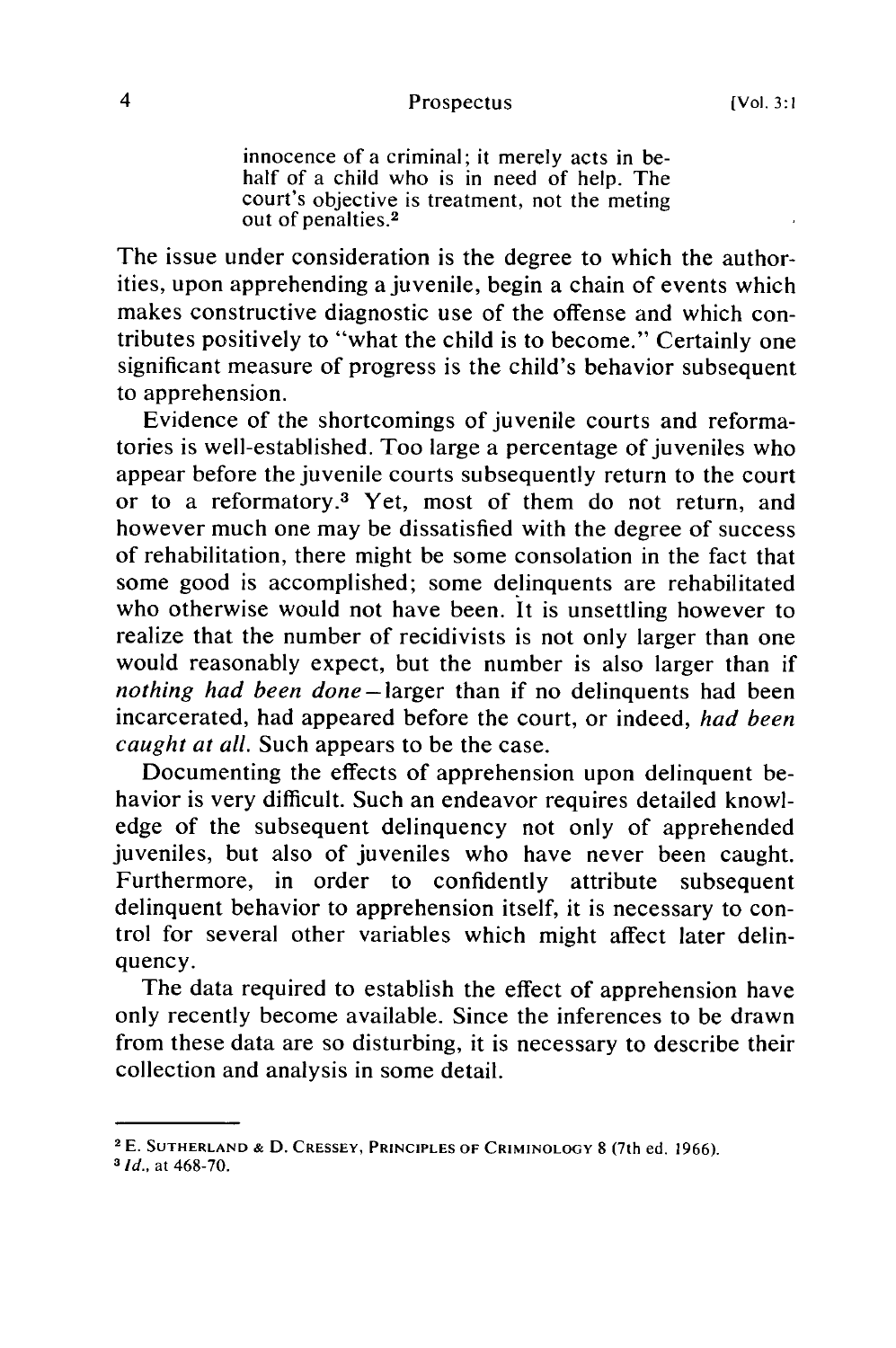innocence of a criminal; it merely acts in behalf of a child who is in need of help. The court's objective is treatment, not the meting out of penalties.<sup>2</sup>

The issue under consideration is the degree to which the authorities, upon apprehending a juvenile, begin a chain of events which makes constructive diagnostic use of the offense and which contributes positively to "what the child is to become." Certainly one significant measure of progress is the child's behavior subsequent to apprehension.

Evidence of the shortcomings of juvenile courts and reformatories is well-established. Too large a percentage of juveniles who appear before the juvenile courts subsequently return to the court or to a reformatory.3 Yet, most of them do not return, and however much one may be dissatisfied with the degree of success of rehabilitation, there might be some consolation in the fact that some good is accomplished; some delinquents are rehabilitated who otherwise would not have been. It is unsettling however to realize that the number of recidivists is not only larger than one would reasonably expect, but the number is also larger than if *nothing had been done-larger* than if no delinquents had been incarcerated, had appeared before the court, or indeed, *had been caught at all.* Such appears to be the case.

Documenting the effects of apprehension upon delinquent behavior is very difficult. Such an endeavor requires detailed knowledge of the subsequent delinquency not only of apprehended juveniles, but also of juveniles who have never been caught. Furthermore, in order to confidently attribute subsequent delinquent behavior to apprehension itself, it is necessary to control for several other variables which might affect later delinquency.

The data required to establish the effect of apprehension have only recently become available. Since the inferences to be drawn from these data are so disturbing, it is necessary to describe their collection and analysis in some detail.

<sup>2</sup> E. **SUTHERLAND & D.** CRESSEY, PRINCIPLES **OF** CRIMINOLOGY **8** (7th ed. 1966).

*<sup>3</sup> Id.,* at 468-70.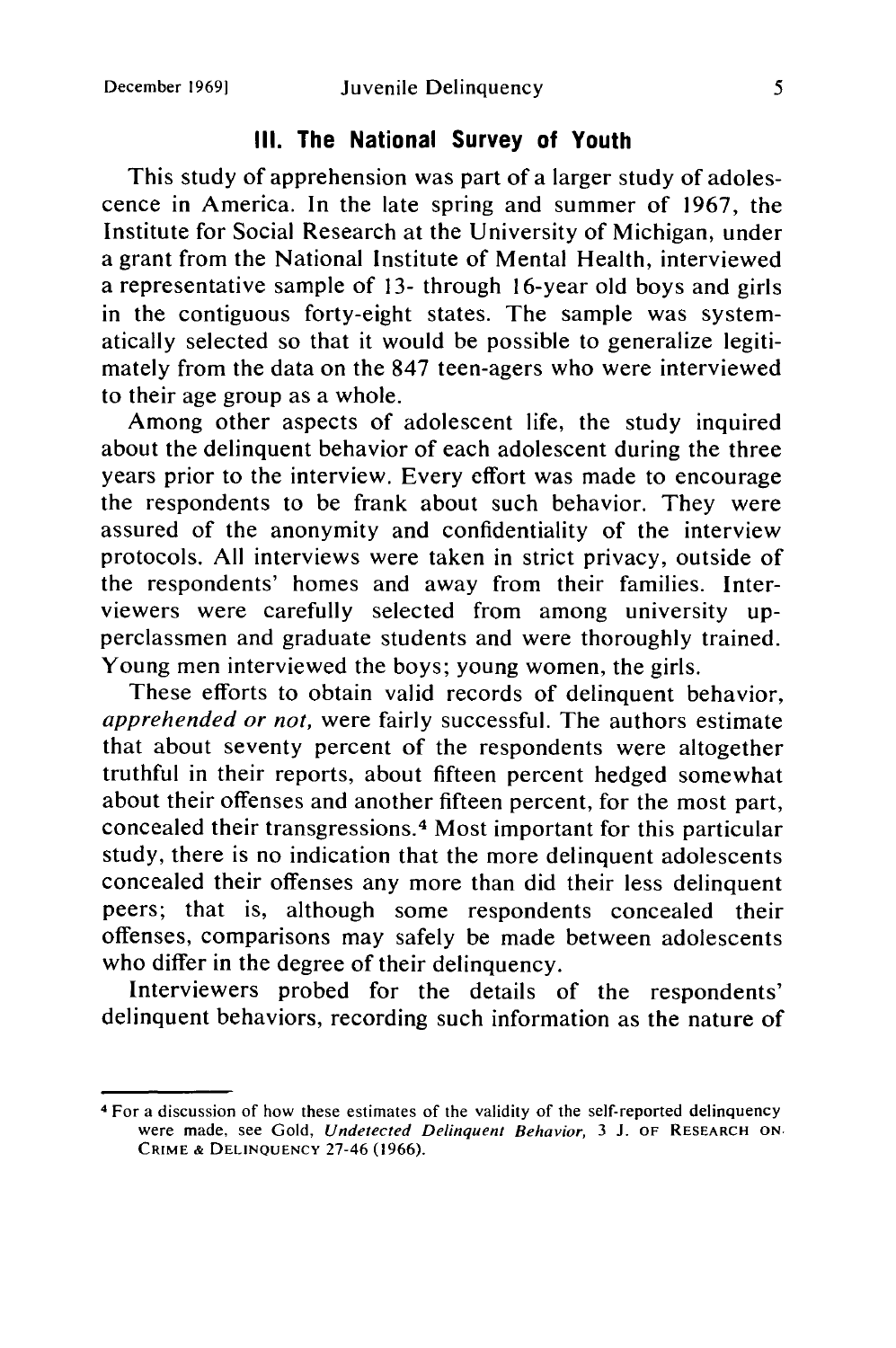### **III. The National Survey of Youth**

This study of apprehension was part of a larger study of adolescence in America. In the late spring and summer of 1967, the Institute for Social Research at the University of Michigan, under a grant from the National Institute of Mental Health, interviewed a representative sample of **13-** through 16-year old boys and girls in the contiguous forty-eight states. The sample was systematically selected so that it would be possible to generalize legitimately from the data on the 847 teen-agers who were interviewed to their age group as a whole.

Among other aspects of adolescent life, the study inquired about the delinquent behavior of each adolescent during the three years prior to the interview. Every effort was made to encourage the respondents to be frank about such behavior. They were assured of the anonymity and confidentiality of the interview protocols. All interviews were taken in strict privacy, outside of the respondents' homes and away from their families. Interviewers were carefully selected from among university upperclassmen and graduate students and were thoroughly trained. Young men interviewed the boys; young women, the girls.

These efforts to obtain valid records of delinquent behavior, *apprehended or not,* were fairly successful. The authors estimate that about seventy percent of the respondents were altogether truthful in their reports, about fifteen percent hedged somewhat about their offenses and another fifteen percent, for the most part, concealed their transgressions. 4 Most important for this particular study, there is no indication that the more delinquent adolescents concealed their offenses any more than did their less delinquent peers; that is, although some respondents concealed their offenses, comparisons may safely be made between adolescents who differ in the degree of their delinquency.

Interviewers probed for the details of the respondents' delinquent behaviors, recording such information as the nature of

<sup>4</sup> For a discussion of how these estimates of the validity of the self-reported delinquency were made, see Gold, Undetected Delinquent Behavior, 3 J. OF RESEARCH **ON.** CRIME **& DELINQUENCY** 27-46 (1966).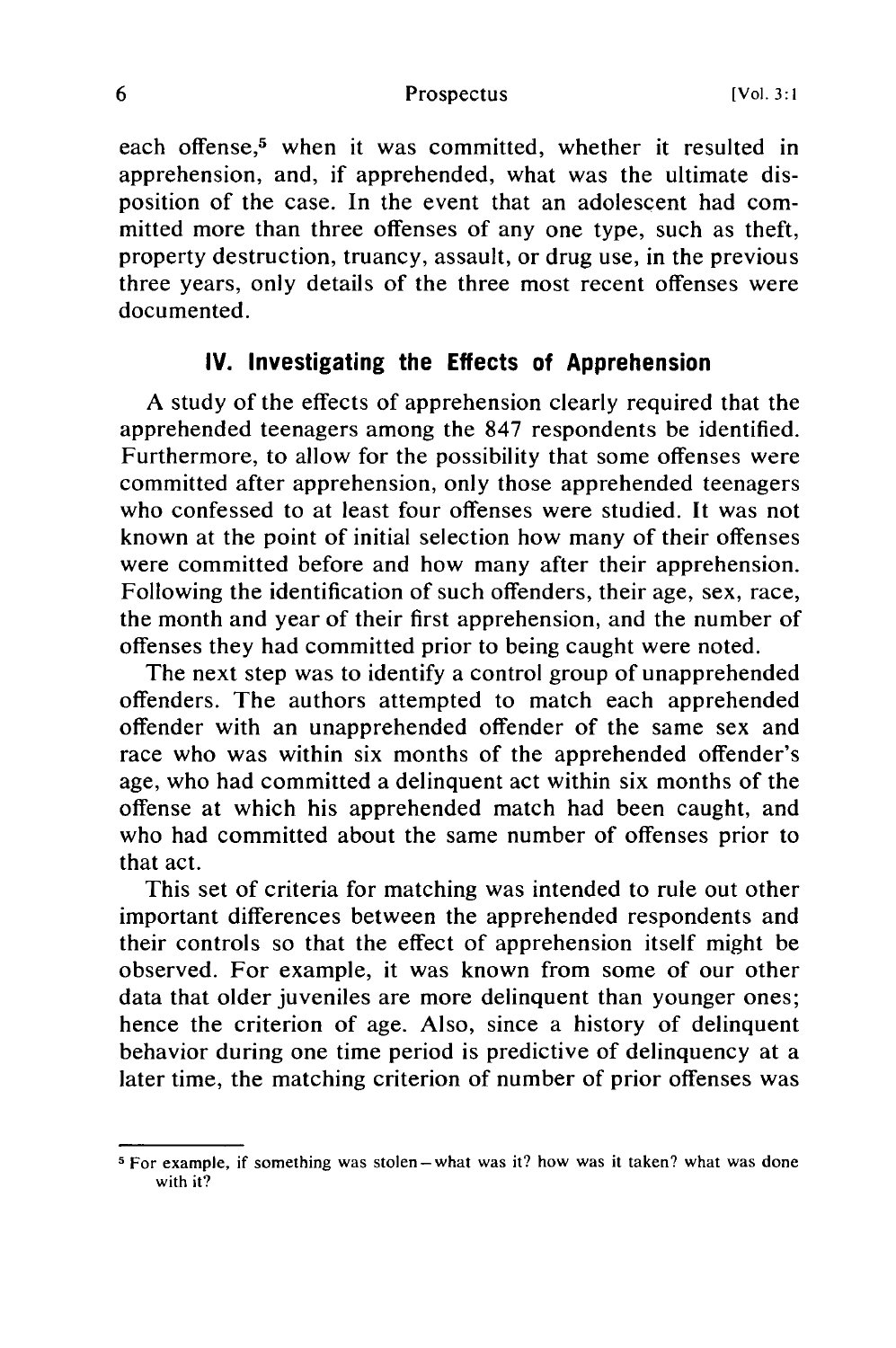each offense,<sup>5</sup> when it was committed, whether it resulted in apprehension, and, if apprehended, what was the ultimate disposition of the case. In the event that an adolescent had committed more than three offenses of any one type, such as theft, property destruction, truancy, assault, or drug use, in the previous three years, only details of the three most recent offenses were documented.

### **IV. Investigating the Effects of Apprehension**

A study of the effects of apprehension clearly required that the apprehended teenagers among the 847 respondents be identified. Furthermore, to allow for the possibility that some offenses were committed after apprehension, only those apprehended teenagers who confessed to at least four offenses were studied. It was not known at the point of initial selection how many of their offenses were committed before and how many after their apprehension. Following the identification of such offenders, their age, sex, race, the month and year of their first apprehension, and the number of offenses they had committed prior to being caught were noted.

The next step was to identify a control group of unapprehended offenders. The authors attempted to match each apprehended offender with an unapprehended offender of the same sex and race who was within six months of the apprehended offender's age, who had committed a delinquent act within six months of the offense at which his apprehended match had been caught, and who had committed about the same number of offenses prior to that act.

This set of criteria for matching was intended to rule out other important differences between the apprehended respondents and their controls so that the effect of apprehension itself might be observed. For example, it was known from some of our other data that older juveniles are more delinquent than younger ones; hence the criterion of age. Also, since a history of delinquent behavior during one time period is predictive of delinquency at a later time, the matching criterion of number of prior offenses was

**<sup>5</sup>** For example, if something was stolen-what was it? how was it taken? what was done with it?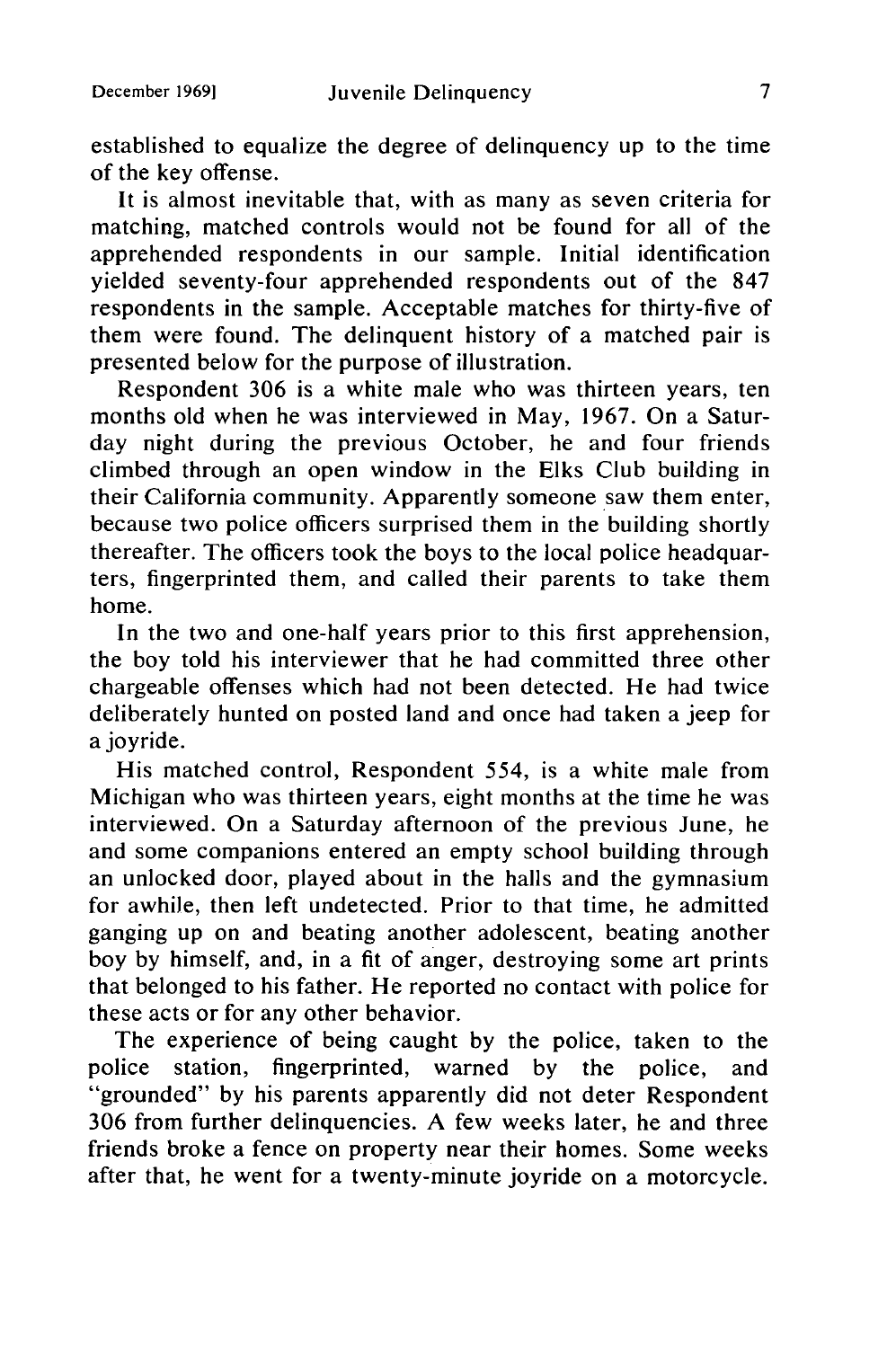established to equalize the degree of delinquency up to the time of the key offense.

It is almost inevitable that, with as many as seven criteria for matching, matched controls would not be found for all of the apprehended respondents in our sample. Initial identification yielded seventy-four apprehended respondents out of the 847 respondents in the sample. Acceptable matches for thirty-five of them were found. The delinquent history of a matched pair is presented below for the purpose of illustration.

Respondent 306 is a white male who was thirteen years, ten months old when he was interviewed in May, 1967. On a Saturday night during the previous October, he and four friends climbed through an open window in the Elks Club building in their California community. Apparently someone saw them enter, because two police officers surprised them in the building shortly thereafter. The officers took the boys to the local police headquarters, fingerprinted them, and called their parents to take them home.

In the two and one-half years prior to this first apprehension, the boy told his interviewer that he had committed three other chargeable offenses which had not been detected. He had twice deliberately hunted on posted land and once had taken a jeep for a joyride.

His matched control, Respondent 554, is a white male from Michigan who was thirteen years, eight months at the time he was interviewed. On a Saturday afternoon of the previous June, he and some companions entered an empty school building through an unlocked door, played about in the halls and the gymnasium for awhile, then left undetected. Prior to that time, he admitted ganging up on and beating another adolescent, beating another boy by himself, and, in a fit of anger, destroying some art prints that belonged to his father. He reported no contact with police for these acts or for any other behavior.

The experience of being caught by the police, taken to the police station, fingerprinted, warned by the police, and "grounded" by his parents apparently did not deter Respondent 306 from further delinquencies. A few weeks later, he and three friends broke a fence on property near their homes. Some weeks after that, he went for a twenty-minute joyride on a motorcycle.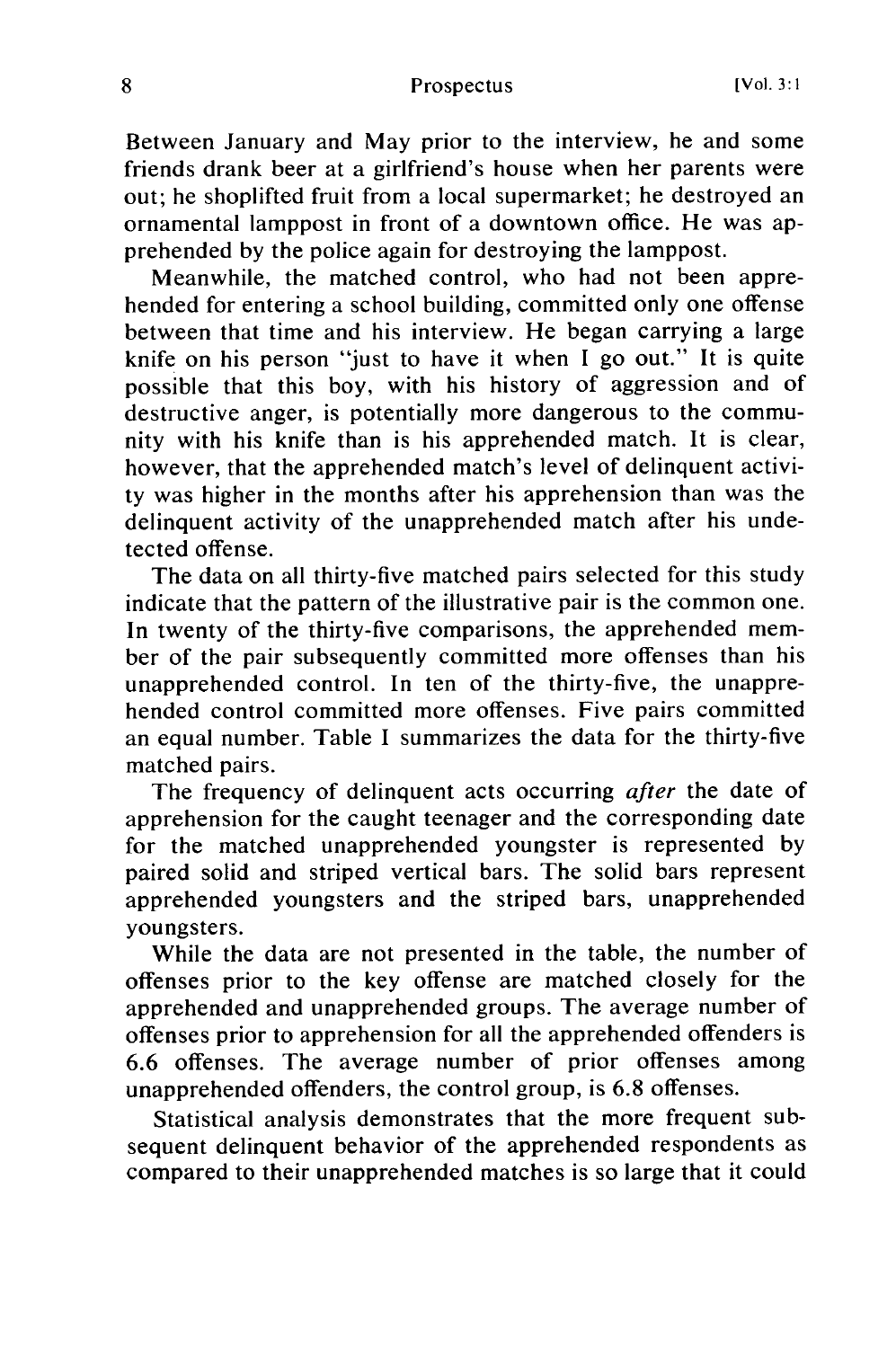Between January and May prior to the interview, he and some friends drank beer at a girlfriend's house when her parents were out; he shoplifted fruit from a local supermarket; he destroyed an ornamental lamppost in front of a downtown office. He was apprehended by the police again for destroying the lamppost.

Meanwhile, the matched control, who had not been apprehended for entering a school building, committed only one offense between that time and his interview. He began carrying a large knife on his person "just to have it when I go out." It is quite possible that this boy, with his history of aggression and of destructive anger, is potentially more dangerous to the community with his knife than is his apprehended match. It is clear, however, that the apprehended match's level of delinquent activity was higher in the months after his apprehension than was the delinquent activity of the unapprehended match after his undetected offense.

The data on all thirty-five matched pairs selected for this study indicate that the pattern of the illustrative pair is the common one. In twenty of the thirty-five comparisons, the apprehended member of the pair subsequently committed more offenses than his unapprehended control. In ten of the thirty-five, the unapprehended control committed more offenses. Five pairs committed an equal number. Table I summarizes the data for the thirty-five matched pairs.

The frequency of delinquent acts occurring after the date of apprehension for the caught teenager and the corresponding date for the matched unapprehended youngster is represented by paired solid and striped vertical bars. The solid bars represent apprehended youngsters and the striped bars, unapprehended youngsters.

While the data are not presented in the table, the number of offenses prior to the key offense are matched closely for the apprehended and unapprehended groups. The average number of offenses prior to apprehension for all the apprehended offenders is 6.6 offenses. The average number of prior offenses among unapprehended offenders, the control group, is 6.8 offenses.

Statistical analysis demonstrates that the more frequent subsequent delinquent behavior of the apprehended respondents as compared to their unapprehended matches is so large that it could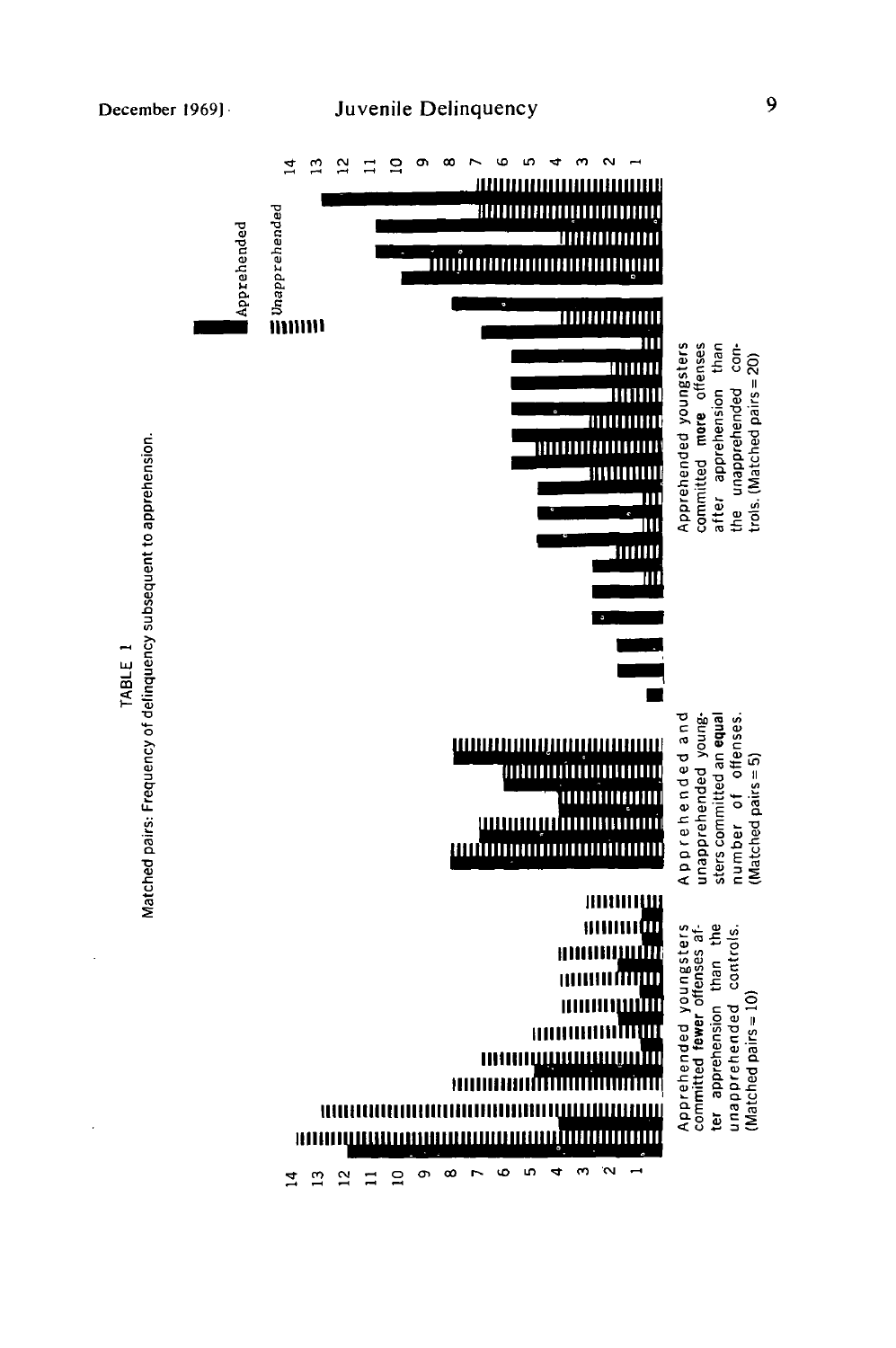

*aj W* TABLE<sub>1</sub> D.  $\sigma$ 

 $\overline{\mathbf{c}}$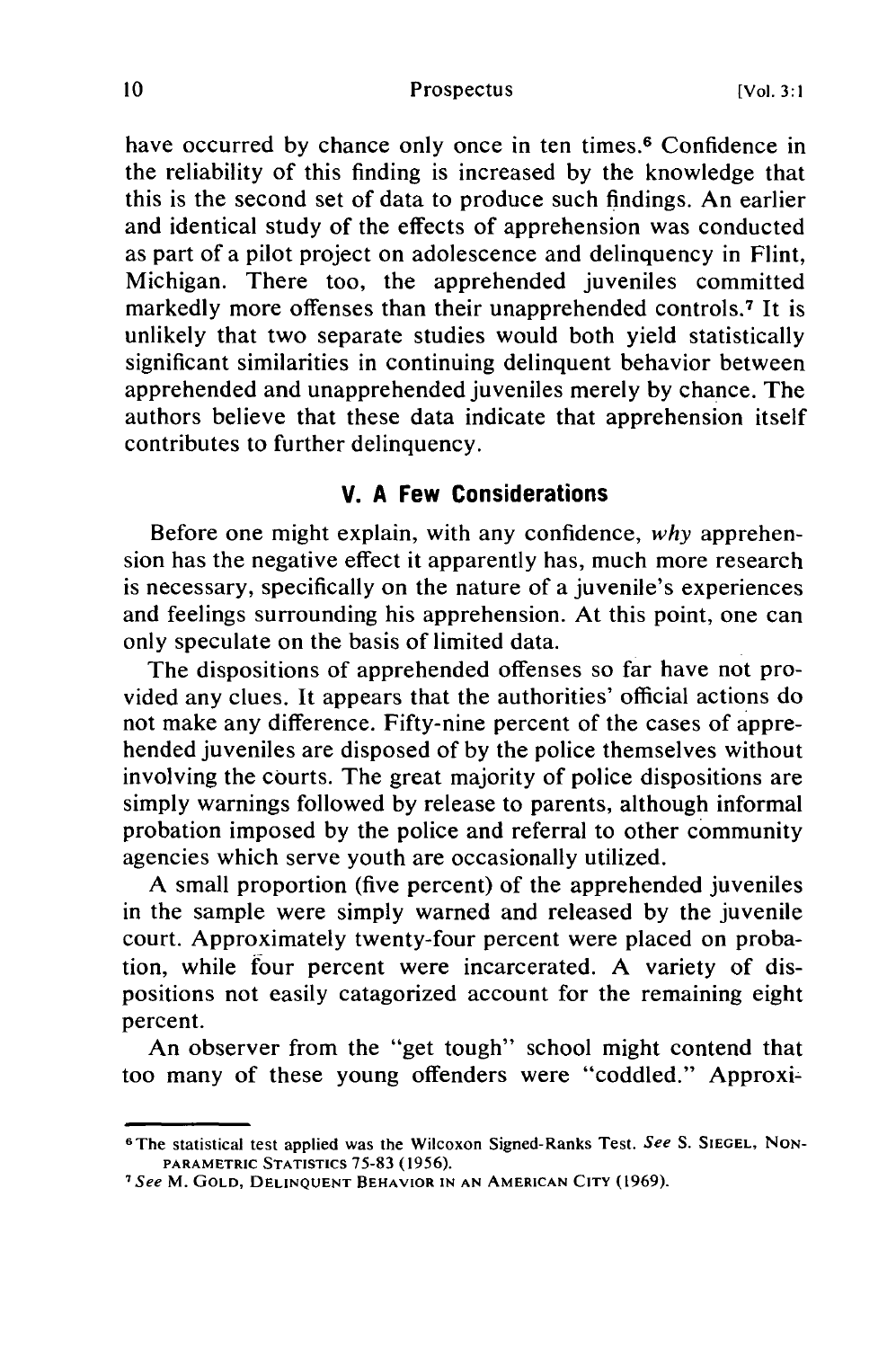have occurred by chance only once in ten times.<sup>6</sup> Confidence in the reliability of this finding is increased by the knowledge that this is the second set of data to produce such findings. An earlier and identical study of the effects of apprehension was conducted as part of a pilot project on adolescence and delinquency in Flint, Michigan. There too, the apprehended juveniles committed markedly more offenses than their unapprehended controls.<sup>7</sup> It is unlikely that two separate studies would both yield statistically significant similarities in continuing delinquent behavior between apprehended and unapprehended juveniles merely by chance. The authors believe that these data indicate that apprehension itself contributes to further delinquency.

#### **V. A Few Considerations**

Before one might explain, with any confidence, *why* apprehension has the negative effect it apparently has, much more research is necessary, specifically on the nature of a juvenile's experiences and feelings surrounding his apprehension. At this point, one can only speculate on the basis of limited data.

The dispositions of apprehended offenses so far have not provided any clues. It appears that the authorities' official actions do not make any difference. Fifty-nine percent of the cases of apprehended juveniles are disposed of by the police themselves without involving the courts. The great majority of police dispositions are simply warnings followed by release to parents, although informal probation imposed by the police and referral to other community agencies which serve youth are occasionally utilized.

A small proportion (five percent) of the apprehended juveniles in the sample were simply warned and released by the juvenile court. Approximately twenty-four percent were placed on probation, while four percent were incarcerated. A variety of dispositions not easily catagorized account for the remaining eight percent.

An observer from the "get tough" school might contend that too many of these young offenders were "coddled." Approxi-

<sup>6</sup> The statistical test applied was the Wilcoxon Signed-Ranks Test. See S. **SIEGEL, NON-**PARAMETRIC STATISTICS **75-83 (1956).**

*<sup>7</sup>*See M. **GOLD, DELINQUENT** BEHAVIOR **IN AN AMERICAN** CITY **(1969).**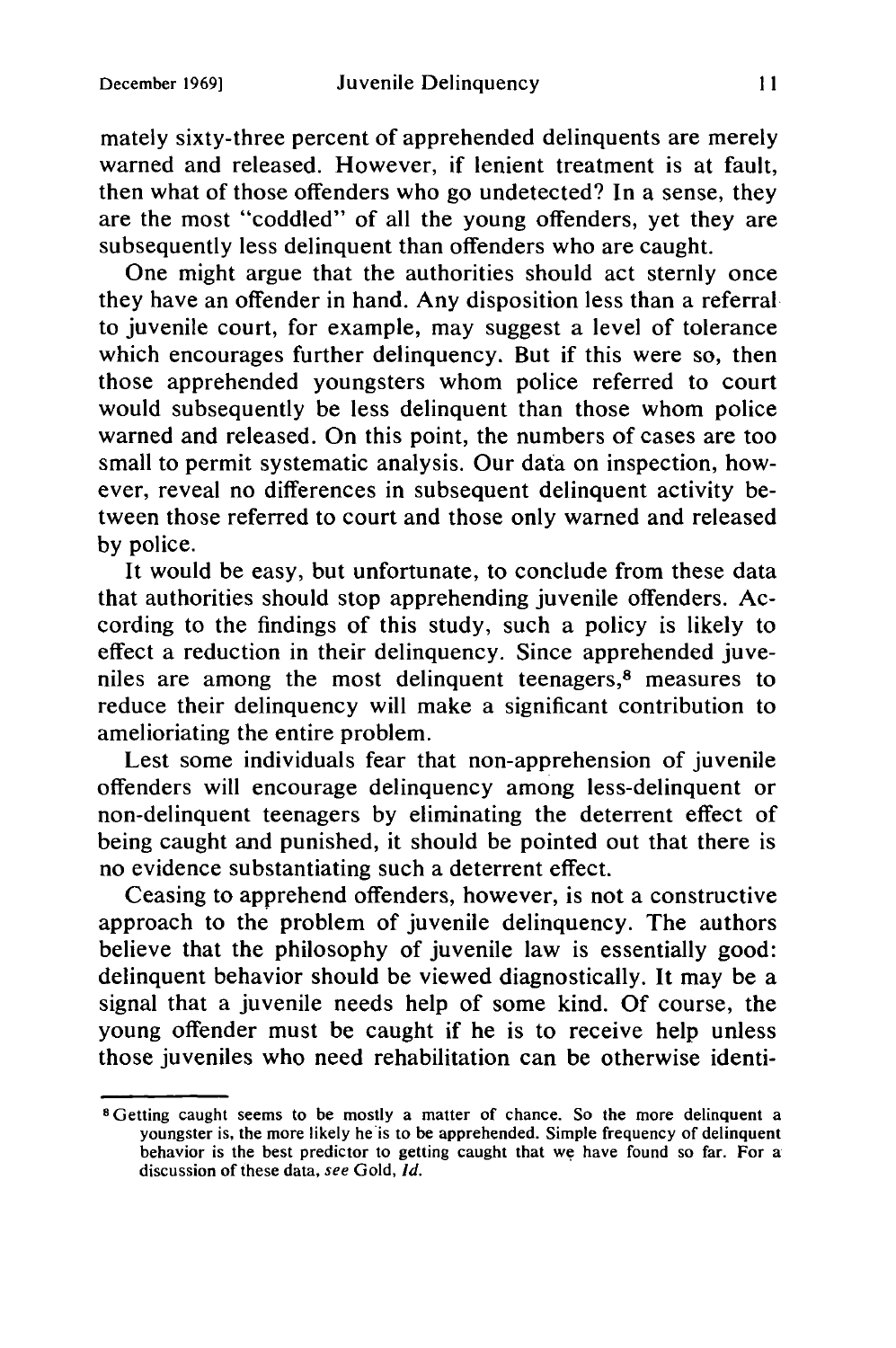mately sixty-three percent of apprehended delinquents are merely warned and released. However, if lenient treatment is at fault, then what of those offenders who go undetected? In a sense, they are the most "coddled" of all the young offenders, yet they are subsequently less delinquent than offenders who are caught.

One might argue that the authorities should act sternly once they have an offender in hand. Any disposition less than a referral to juvenile court, for example, may suggest a level of tolerance which encourages further delinquency. But if this were so, then those apprehended youngsters whom police referred to court would subsequently be less delinquent than those whom police warned and released. On this point, the numbers of cases are too small to permit systematic analysis. Our data on inspection, however, reveal no differences in subsequent delinquent activity between those referred to court and those only warned and released by police.

It would be easy, but unfortunate, to conclude from these data that authorities should stop apprehending juvenile offenders. According to the findings of this study, such a policy is likely to effect a reduction in their delinquency. Since apprehended juveniles are among the most delinquent teenagers,8 measures to reduce their delinquency will make a significant contribution to amelioriating the entire problem.

Lest some individuals fear that non-apprehension of juvenile offenders will encourage delinquency among less-delinquent or non-delinquent teenagers by eliminating the deterrent effect of being caught and punished, it should be pointed out that there is no evidence substantiating such a deterrent effect.

Ceasing to apprehend offenders, however, is not a constructive approach to the problem of juvenile delinquency. The authors believe that the philosophy of juvenile law is essentially good: delinquent behavior should be viewed diagnostically. It may be a signal that a juvenile needs help of some kind. Of course, the young offender must be caught if he is to receive help unless those juveniles who need rehabilitation can be otherwise identi-

**S** Getting caught seems to be mostly a matter of chance. So the more delinquent a youngster is, the more likely he is to be apprehended. Simple frequency of delinquent behavior is the best predictor to getting caught that we have found so far. For a discussion of these data, see Gold, *Id.*